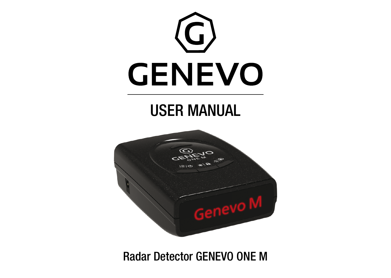

Radar Detector GENEVO ONE M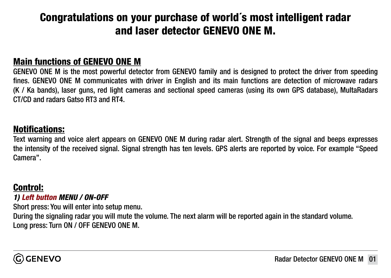# Congratulations on your purchase of world´s most intelligent radar and laser detector GENEVO ONE M.

#### Main functions of GENEVO ONE M

GENEVO ONE M is the most powerful detector from GENEVO family and is designed to protect the driver from speeding fines. GENEVO ONE M communicates with driver in English and its main functions are detection of microwave radars (K / Ka bands), laser guns, red light cameras and sectional speed cameras (using its own GPS database), MultaRadars CT/CD and radars Gatso RT3 and RT4.

#### Notifications:

Text warning and voice alert appears on GENEVO ONE M during radar alert. Strength of the signal and beeps expresses the intensity of the received signal. Signal strength has ten levels. GPS alerts are reported by voice. For example "Speed Camera".

#### Control:

*1) Left button MENU / ON-OFF*

Short press: You will enter into setup menu.

During the signaling radar you will mute the volume. The next alarm will be reported again in the standard volume. Long press: Turn ON / OFF GENEVO ONE M.

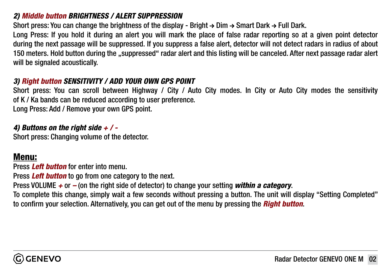#### *2) Middle button BRIGHTNESS / ALERT SUPPRESSION*

Short press: You can change the brightness of the display - Bright  $\rightarrow$  Dim  $\rightarrow$  Smart Dark  $\rightarrow$  Full Dark.

Long Press: If you hold it during an alert you will mark the place of false radar reporting so at a given point detector during the next passage will be suppressed. If you suppress a false alert, detector will not detect radars in radius of about 150 meters. Hold button during the "suppressed" radar alert and this listing will be canceled. After next passage radar alert will be signaled acoustically.

#### *3) Right button SENSITIVITY / ADD YOUR OWN GPS POINT*

Short press: You can scroll between Highway / City / Auto City modes. In City or Auto City modes the sensitivity of K / Ka bands can be reduced according to user preference.

Long Press: Add / Remove your own GPS point.

#### *4) Buttons on the right side + / -*

Short press: Changing volume of the detector.

#### Menu:

Press *Left button* for enter into menu.

Press *Left button* to go from one category to the next.

Press VOLUME *+* or *–* (on the right side of detector) to change your setting *within a category*.

To complete this change, simply wait a few seconds without pressing a button. The unit will display "Setting Completed" to confirm your selection. Alternatively, you can get out of the menu by pressing the *Right button*.

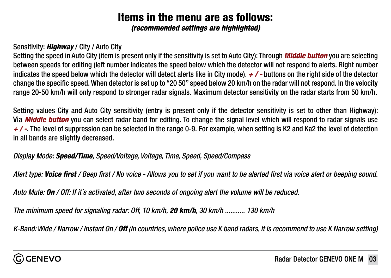# Items in the menu are as follows:

*(recommended settings are highlighted)*

#### Sensitivity: *Highway* / City / Auto City

Setting the speed in Auto City (item is present only if the sensitivity is set to Auto City): Through *Middle button* you are selecting between speeds for editing (left number indicates the speed below which the detector will not respond to alerts. Right number indicates the speed below which the detector will detect alerts like in City mode). *+ / -* buttons on the right side of the detector change the specific speed. When detector is set up to "20 50" speed below 20 km/h on the radar will not respond. In the velocity range 20-50 km/h will only respond to stronger radar signals. Maximum detector sensitivity on the radar starts from 50 km/h.

Setting values City and Auto City sensitivity (entry is present only if the detector sensitivity is set to other than Highway): Via *Middle button* you can select radar band for editing. To change the signal level which will respond to radar signals use *+ / -*. The level of suppression can be selected in the range 0-9. For example, when setting is K2 and Ka2 the level of detection in all bands are slightly decreased.

*Display Mode: Speed/Time, Speed/Voltage, Voltage, Time, Speed, Speed/Compass*

*Alert type: Voice first / Beep first / No voice - Allows you to set if you want to be alerted first via voice alert or beeping sound.*

*Auto Mute: On / Off: If it´s activated, after two seconds of ongoing alert the volume will be reduced.*

*The minimum speed for signaling radar: Off, 10 km/h, 20 km/h, 30 km/h ........... 130 km/h*

*K-Band: Wide / Narrow / Instant On / Off (In countries, where police use K band radars, it is recommend to use K Narrow setting)*

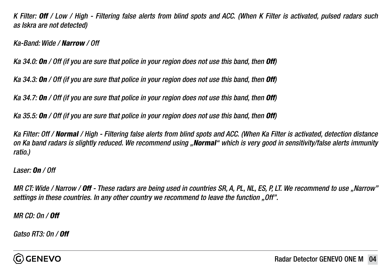*K Filter: Off / Low / High - Filtering false alerts from blind spots and ACC. (When K Filter is activated, pulsed radars such as Iskra are not detected)*

*Ka-Band: Wide / Narrow / Off*

*Ka 34.0: On / Off (if you are sure that police in your region does not use this band, then Off)*

*Ka 34.3: On / Off (if you are sure that police in your region does not use this band, then Off)*

*Ka 34.7: On / Off (if you are sure that police in your region does not use this band, then Off)*

*Ka 35.5: On / Off (if you are sure that police in your region does not use this band, then Off)*

*Ka Filter: Off / Normal / High - Filtering false alerts from blind spots and ACC. (When Ka Filter is activated, detection distance on Ka band radars is slightly reduced. We recommend using "Normal" which is very good in sensitivity/false alerts immunity ratio.)*

*Laser: On / Off* 

*MR CT: Wide / Narrow / Off - These radars are being used in countries SR, A, PL, NL, ES, P, LT. We recommend to use "Narrow" settings in these countries. In any other country we recommend to leave the function "Off".*

*MR CD: On / Off*

*Gatso RT3: On / Off*

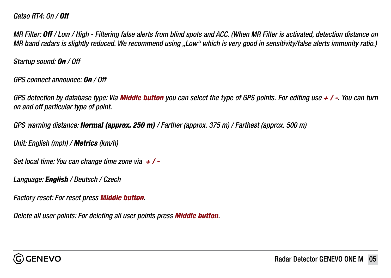#### *Gatso RT4: On / Off*

*MR Filter: Off / Low / High - Filtering false alerts from blind spots and ACC. (When MR Filter is activated, detection distance on MR band radars is slightly reduced. We recommend using "Low" which is very good in sensitivity/false alerts immunity ratio.)*

*Startup sound: On / Off*

*GPS connect announce: On / Off*

*GPS detection by database type: Via Middle button you can select the type of GPS points. For editing use + / -. You can turn on and off particular type of point.* 

*GPS warning distance: Normal (approx. 250 m) / Farther (approx. 375 m) / Farthest (approx. 500 m)*

*Unit: English (mph) / Metrics (km/h)*

*Set local time: You can change time zone via + / -*

*Language: English / Deutsch / Czech*

*Factory reset: For reset press Middle button.* 

*Delete all user points: For deleting all user points press Middle button.*

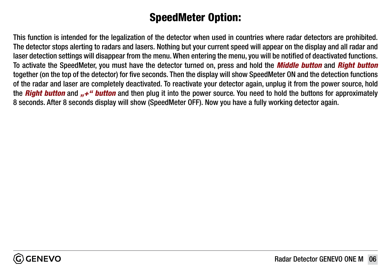## SpeedMeter Option:

This function is intended for the legalization of the detector when used in countries where radar detectors are prohibited. The detector stops alerting to radars and lasers. Nothing but your current speed will appear on the display and all radar and laser detection settings will disappear from the menu. When entering the menu, you will be notified of deactivated functions. To activate the SpeedMeter, you must have the detector turned on, press and hold the *Middle button* and *Right button* together (on the top of the detector) for five seconds. Then the display will show SpeedMeter ON and the detection functions of the radar and laser are completely deactivated. To reactivate your detector again, unplug it from the power source, hold the **Right button** and  $. +$ " **button** and then plug it into the power source. You need to hold the buttons for approximately 8 seconds. After 8 seconds display will show (SpeedMeter OFF). Now you have a fully working detector again.

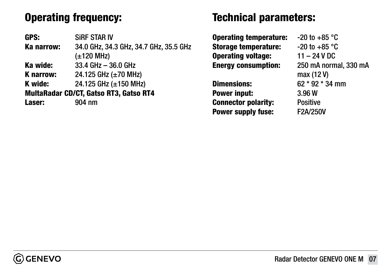# Operating frequency:

GPS: SiRF STAR IV Ka narrow: 34.0 GHz, 34.3 GHz, 34.7 GHz, 35.5 GHz (±120 MHz) Ka wide: 33.4 GHz – 36.0 GHz **K narrow:** 24.125 GHz  $(\pm 70 \text{ MHz})$ **K** wide:  $24.125$  GHz ( $\pm 150$  MHz) MultaRadar CD/CT, Gatso RT3, Gatso RT4 Laser: 904 nm

### Technical parameters:

**Operating temperature:**  $-20$  to  $+85$  °C **Storage temperature:**  $-20$  to  $+85$  °C Operating voltage: 11 – 24 V DC Energy consumption: 250 mA normal, 330 mA

Power input: 3.96 W Connector polarity: Positive Power supply fuse: F2A/250V

 max (12 V) Dimensions: 62 \* 92 \* 34 mm

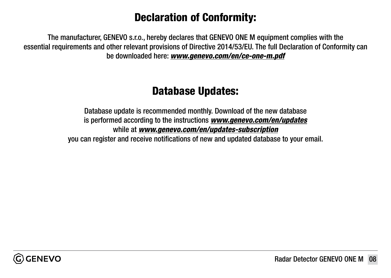## Declaration of Conformity:

The manufacturer, GENEVO s.r.o., hereby declares that GENEVO ONE M equipment complies with the essential requirements and other relevant provisions of Directive 2014/53/EU. The full Declaration of Conformity can be downloaded here: *[www.genevo.com/en/ce-one-m.pdf](http://www.genevo.com/en/ce-one-m.pdf)*

### Database Updates:

Database update is recommended monthly. Download of the new database is performed according to the instructions *[www.genevo.com/en/updates](https://www.genevo.com/en/updates-support/)* while at *[www.genevo.com/en/updates-subscription](https://www.genevo.com/en/updates-subscription/)* you can register and receive notifications of new and updated database to your email.

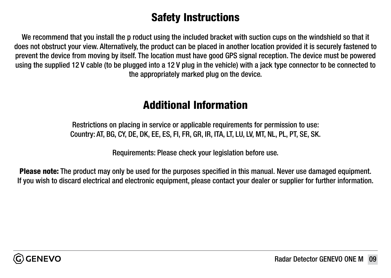### Safety Instructions

We recommend that you install the p roduct using the included bracket with suction cups on the windshield so that it does not obstruct your view. Alternatively, the product can be placed in another location provided it is securely fastened to prevent the device from moving by itself. The location must have good GPS signal reception. The device must be powered using the supplied 12 V cable (to be plugged into a 12 V plug in the vehicle) with a jack type connector to be connected to the appropriately marked plug on the device.

### Additional Information

Restrictions on placing in service or applicable requirements for permission to use: Country: AT, BG, CY, DE, DK, EE, ES, FI, FR, GR, IR, ITA, LT, LU, LV, MT, NL, PL, PT, SE, SK.

Requirements: Please check your legislation before use.

Please note: The product may only be used for the purposes specified in this manual. Never use damaged equipment. If you wish to discard electrical and electronic equipment, please contact your dealer or supplier for further information.